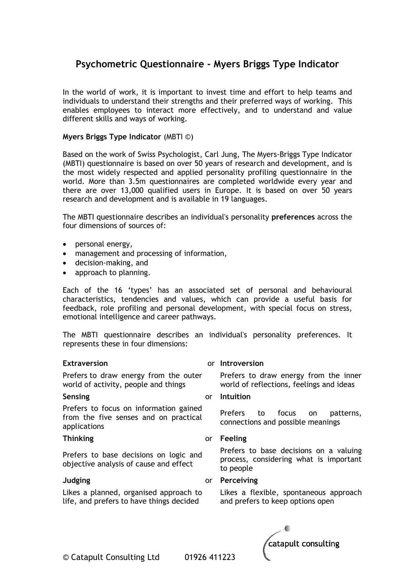### **Psychometric Questionnaire - Myers Briggs Type Indicator**

In the world of work, it is important to invest time and effort to help teams and individuals to understand their strengths and their preferred ways of working. This enables employees to interact more effectively, and to understand and value different skills and ways of working.

#### **Myers Briggs Type Indicator** (MBTI ©)

Based on the work of Swiss Psychologist, Carl Jung, The Myers-Briggs Type Indicator (MBTI) questionnaire is based on over 50 years of research and development, and is the most widely respected and applied personality profiling questionnaire in the world. More than 3.5m questionnaires are completed worldwide every year and there are over 13,000 qualified users in Europe. It is based on over 50 years research and development and is available in 19 languages.

The MBTI questionnaire describes an individual's personality **preferences** across the four dimensions of sources of:

- $\bullet$  personal energy,
- management and processing of information,
- decision-making, and
- approach to planning.

Each of the 16 'types' has an associated set of personal and behavioural characteristics, tendencies and values, which can provide a useful basis for feedback, role profiling and personal development, with special focus on stress, emotional intelligence and career pathways.

The MBTI questionnaire describes an individual's personality preferences. It represents these in four dimensions:

| <b>Extraversion</b>                                                                             |           | or Introversion                                                                               |
|-------------------------------------------------------------------------------------------------|-----------|-----------------------------------------------------------------------------------------------|
| Prefers to draw energy from the outer<br>world of activity, people and things                   |           | Prefers to draw energy from the inner<br>world of reflections, feelings and ideas             |
| Sensing                                                                                         | or        | Intuition                                                                                     |
| Prefers to focus on information gained<br>from the five senses and on practical<br>applications |           | <b>Prefers</b><br>to focus<br>patterns,<br>on.<br>connections and possible meanings           |
| <b>Thinking</b>                                                                                 | or        | Feeling                                                                                       |
| Prefers to base decisions on logic and<br>objective analysis of cause and effect                |           | Prefers to base decisions on a valuing<br>process, considering what is important<br>to people |
| Judging                                                                                         | <b>or</b> | Perceiving                                                                                    |
| Likes a planned, organised approach to<br>life, and prefers to have things decided              |           | Likes a flexible, spontaneous approach<br>and prefers to keep options open                    |
|                                                                                                 |           |                                                                                               |

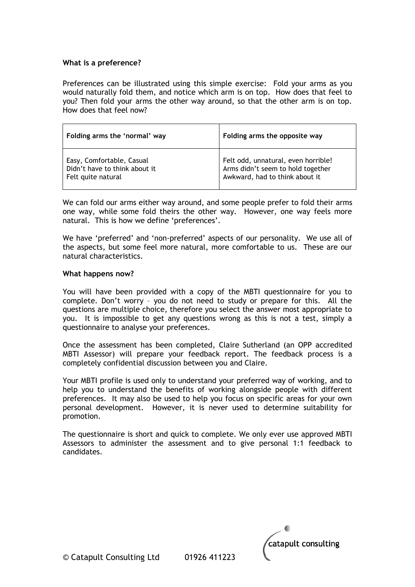#### **What is a preference?**

Preferences can be illustrated using this simple exercise: Fold your arms as you would naturally fold them, and notice which arm is on top. How does that feel to you? Then fold your arms the other way around, so that the other arm is on top. How does that feel now?

| Folding arms the 'normal' way                                                    | Folding arms the opposite way                                                                              |
|----------------------------------------------------------------------------------|------------------------------------------------------------------------------------------------------------|
| Easy, Comfortable, Casual<br>Didn't have to think about it<br>Felt quite natural | Felt odd, unnatural, even horrible!<br>Arms didn't seem to hold together<br>Awkward, had to think about it |

We can fold our arms either way around, and some people prefer to fold their arms one way, while some fold theirs the other way. However, one way feels more natural. This is how we define 'preferences'.

We have 'preferred' and 'non-preferred' aspects of our personality. We use all of the aspects, but some feel more natural, more comfortable to us. These are our natural characteristics.

#### **What happens now?**

You will have been provided with a copy of the MBTI questionnaire for you to complete. Don't worry – you do not need to study or prepare for this. All the questions are multiple choice, therefore you select the answer most appropriate to you. It is impossible to get any questions wrong as this is not a test, simply a questionnaire to analyse your preferences.

Once the assessment has been completed, Claire Sutherland (an OPP accredited MBTI Assessor) will prepare your feedback report. The feedback process is a completely confidential discussion between you and Claire.

Your MBTI profile is used only to understand your preferred way of working, and to help you to understand the benefits of working alongside people with different preferences. It may also be used to help you focus on specific areas for your own personal development. However, it is never used to determine suitability for promotion.

The questionnaire is short and quick to complete. We only ever use approved MBTI Assessors to administer the assessment and to give personal 1:1 feedback to candidates.

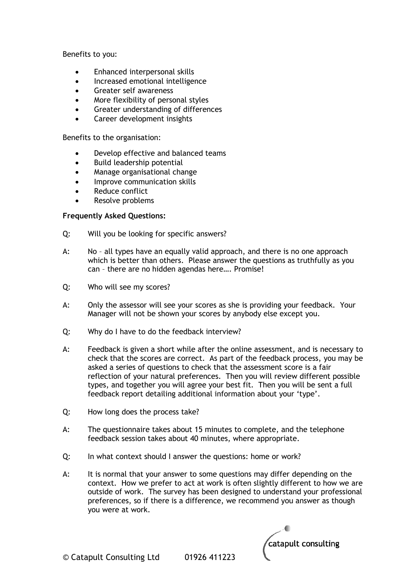Benefits to you:

- Enhanced interpersonal skills
- Increased emotional intelligence
- Greater self awareness
- More flexibility of personal styles
- Greater understanding of differences
- Career development insights

Benefits to the organisation:

- Develop effective and balanced teams
- Build leadership potential
- Manage organisational change
- Improve communication skills
- Reduce conflict
- Resolve problems

#### **Frequently Asked Questions:**

- Q: Will you be looking for specific answers?
- A: No all types have an equally valid approach, and there is no one approach which is better than others. Please answer the questions as truthfully as you can – there are no hidden agendas here…. Promise!
- Q: Who will see my scores?
- A: Only the assessor will see your scores as she is providing your feedback. Your Manager will not be shown your scores by anybody else except you.
- Q: Why do I have to do the feedback interview?
- A: Feedback is given a short while after the online assessment, and is necessary to check that the scores are correct. As part of the feedback process, you may be asked a series of questions to check that the assessment score is a fair reflection of your natural preferences. Then you will review different possible types, and together you will agree your best fit. Then you will be sent a full feedback report detailing additional information about your 'type'.
- Q: How long does the process take?
- A: The questionnaire takes about 15 minutes to complete, and the telephone feedback session takes about 40 minutes, where appropriate.
- Q: In what context should I answer the questions: home or work?
- A: It is normal that your answer to some questions may differ depending on the context. How we prefer to act at work is often slightly different to how we are outside of work. The survey has been designed to understand your professional preferences, so if there is a difference, we recommend you answer as though you were at work.

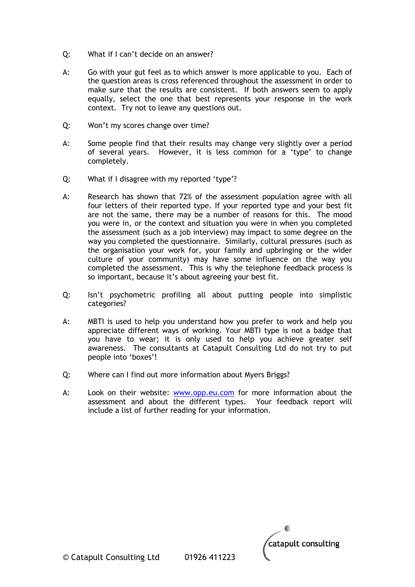- Q: What if I can't decide on an answer?
- A: Go with your gut feel as to which answer is more applicable to you. Each of the question areas is cross referenced throughout the assessment in order to make sure that the results are consistent. If both answers seem to apply equally, select the one that best represents your response in the work context. Try not to leave any questions out.
- Q: Won't my scores change over time?
- A: Some people find that their results may change very slightly over a period of several years. However, it is less common for a 'type' to change completely.
- Q: What if I disagree with my reported 'type'?
- A: Research has shown that 72% of the assessment population agree with all four letters of their reported type. If your reported type and your best fit are not the same, there may be a number of reasons for this. The mood you were in, or the context and situation you were in when you completed the assessment (such as a job interview) may impact to some degree on the way you completed the questionnaire. Similarly, cultural pressures (such as the organisation your work for, your family and upbringing or the wider culture of your community) may have some influence on the way you completed the assessment. This is why the telephone feedback process is so important, because it's about agreeing your best fit.
- Q: Isn't psychometric profiling all about putting people into simplistic categories?
- A: MBTI is used to help you understand how you prefer to work and help you appreciate different ways of working. Your MBTI type is not a badge that you have to wear; it is only used to help you achieve greater self awareness. The consultants at Catapult Consulting Ltd do not try to put people into 'boxes'!
- Q: Where can I find out more information about Myers Briggs?
- A: Look on their website: [www.opp.eu.com](http://www.opp.eu.com/) for more information about the assessment and about the different types. Your feedback report will include a list of further reading for your information.

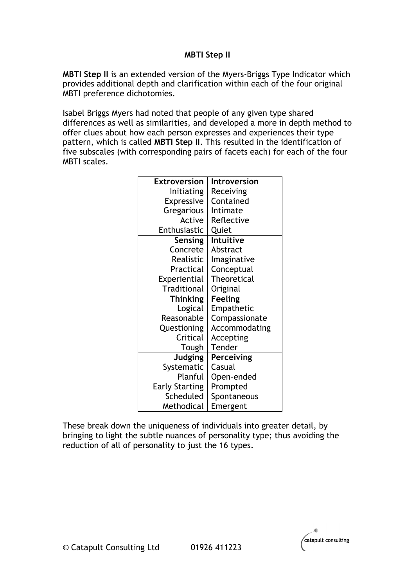### **MBTI Step II**

**MBTI Step II** is an extended version of the [Myers-Briggs Type Indicator](http://en.wikipedia.org/wiki/Myers-Briggs_Type_Indicator) which provides additional depth and clarification within each of the four original MBTI preference dichotomies.

[Isabel Briggs Myers](http://en.wikipedia.org/wiki/Isabel_Briggs_Myers) had noted that people of any given type shared differences as well as similarities, and developed a more in depth method to offer clues about how each person expresses and experiences their type pattern, which is called **MBTI Step II**. This resulted in the identification of five subscales (with corresponding pairs of facets each) for each of the four MBTI scales.

| <b>Extroversion</b>   | Introversion       |
|-----------------------|--------------------|
| Initiating            | Receiving          |
| Expressive            | Contained          |
| Gregarious            | Intimate           |
| Active                | Reflective         |
| Enthusiastic          | Quiet              |
| Sensing               | Intuitive          |
| Concrete              | Abstract           |
| Realistic             | Imaginative        |
| Practical             | Conceptual         |
| Experiential          | <b>Theoretical</b> |
| <b>Traditional</b>    | Original           |
| <b>Thinking</b>       | <b>Feeling</b>     |
| Logical               | Empathetic         |
| Reasonable            | Compassionate      |
| Questioning           | Accommodating      |
| Critical              | Accepting          |
| Tough                 | Tender             |
| <b>Judging</b>        | Perceiving         |
| Systematic            | Casual             |
| Planful               | Open-ended         |
| <b>Early Starting</b> | Prompted           |
| Scheduled             | Spontaneous        |
| Methodical            | Emergent           |

These break down the uniqueness of individuals into greater detail, by bringing to light the subtle nuances of personality type; thus avoiding the reduction of all of personality to just the 16 types.